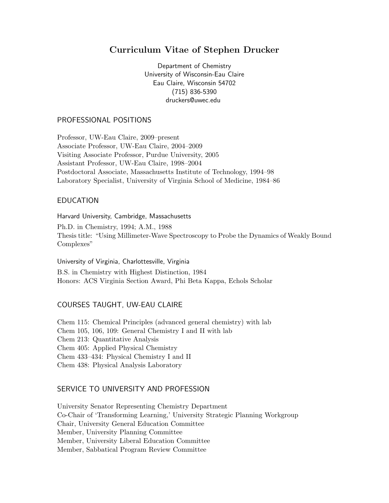# Curriculum Vitae of Stephen Drucker

Department of Chemistry University of Wisconsin-Eau Claire Eau Claire, Wisconsin 54702 (715) 836-5390 druckers@uwec.edu

## PROFESSIONAL POSITIONS

Professor, UW-Eau Claire, 2009–present Associate Professor, UW-Eau Claire, 2004–2009 Visiting Associate Professor, Purdue University, 2005 Assistant Professor, UW-Eau Claire, 1998–2004 Postdoctoral Associate, Massachusetts Institute of Technology, 1994–98 Laboratory Specialist, University of Virginia School of Medicine, 1984–86

## EDUCATION

Harvard University, Cambridge, Massachusetts

Ph.D. in Chemistry, 1994; A.M., 1988 Thesis title: "Using Millimeter-Wave Spectroscopy to Probe the Dynamics of Weakly Bound Complexes"

University of Virginia, Charlottesville, Virginia B.S. in Chemistry with Highest Distinction, 1984 Honors: ACS Virginia Section Award, Phi Beta Kappa, Echols Scholar

## COURSES TAUGHT, UW-EAU CLAIRE

Chem 115: Chemical Principles (advanced general chemistry) with lab Chem 105, 106, 109: General Chemistry I and II with lab Chem 213: Quantitative Analysis Chem 405: Applied Physical Chemistry Chem 433–434: Physical Chemistry I and II Chem 438: Physical Analysis Laboratory

## SERVICE TO UNIVERSITY AND PROFESSION

University Senator Representing Chemistry Department Co-Chair of 'Transforming Learning,' University Strategic Planning Workgroup Chair, University General Education Committee Member, University Planning Committee Member, University Liberal Education Committee Member, Sabbatical Program Review Committee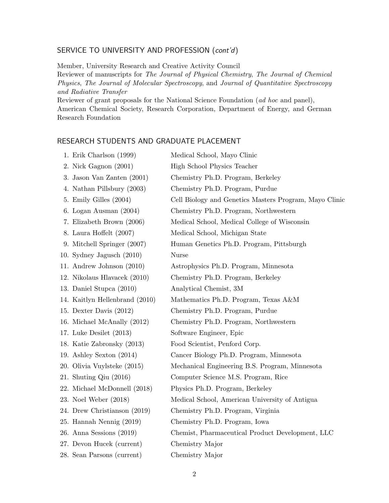## SERVICE TO UNIVERSITY AND PROFESSION (cont'd)

Member, University Research and Creative Activity Council

Reviewer of manuscripts for The Journal of Physical Chemistry, The Journal of Chemical Physics, The Journal of Molecular Spectroscopy, and Journal of Quantitative Spectroscopy and Radiative Transfer

Reviewer of grant proposals for the National Science Foundation (ad hoc and panel), American Chemical Society, Research Corporation, Department of Energy, and German Research Foundation

## RESEARCH STUDENTS AND GRADUATE PLACEMENT

| 1. Erik Charlson (1999)        | Medical School, Mayo Clinic                            |
|--------------------------------|--------------------------------------------------------|
| 2. Nick Gagnon (2001)          | High School Physics Teacher                            |
| 3. Jason Van Zanten (2001)     | Chemistry Ph.D. Program, Berkeley                      |
| 4. Nathan Pillsbury (2003)     | Chemistry Ph.D. Program, Purdue                        |
| 5. Emily Gilles (2004)         | Cell Biology and Genetics Masters Program, Mayo Clinic |
| 6. Logan Ausman (2004)         | Chemistry Ph.D. Program, Northwestern                  |
| 7. Elizabeth Brown (2006)      | Medical School, Medical College of Wisconsin           |
| 8. Laura Hoffelt (2007)        | Medical School, Michigan State                         |
| 9. Mitchell Springer (2007)    | Human Genetics Ph.D. Program, Pittsburgh               |
| 10. Sydney Jagusch $(2010)$    | <b>Nurse</b>                                           |
| 11. Andrew Johnson (2010)      | Astrophysics Ph.D. Program, Minnesota                  |
| 12. Nikolaus Hlavacek (2010)   | Chemistry Ph.D. Program, Berkeley                      |
| 13. Daniel Stupca (2010)       | Analytical Chemist, 3M                                 |
| 14. Kaitlyn Hellenbrand (2010) | Mathematics Ph.D. Program, Texas A&M                   |
| 15. Dexter Davis (2012)        | Chemistry Ph.D. Program, Purdue                        |
| 16. Michael McAnally (2012)    | Chemistry Ph.D. Program, Northwestern                  |
| 17. Luke Desilet $(2013)$      | Software Engineer, Epic                                |
| 18. Katie Zabronsky (2013)     | Food Scientist, Penford Corp.                          |
| 19. Ashley Sexton $(2014)$     | Cancer Biology Ph.D. Program, Minnesota                |
| 20. Olivia Vuylsteke (2015)    | Mechanical Engineering B.S. Program, Minnesota         |
| 21. Shuting Qiu $(2016)$       | Computer Science M.S. Program, Rice                    |
| 22. Michael McDonnell (2018)   | Physics Ph.D. Program, Berkeley                        |
| 23. Noel Weber (2018)          | Medical School, American University of Antigua         |
| 24. Drew Christianson (2019)   | Chemistry Ph.D. Program, Virginia                      |
| 25. Hannah Nennig (2019)       | Chemistry Ph.D. Program, Iowa                          |
| 26. Anna Sessions $(2019)$     | Chemist, Pharmaceutical Product Development, LLC       |
| 27. Devon Hucek (current)      | Chemistry Major                                        |
| 28. Sean Parsons (current)     | Chemistry Major                                        |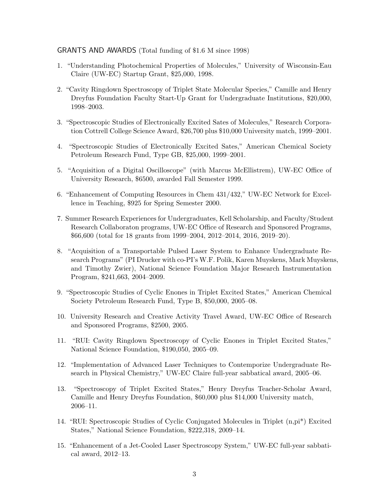#### GRANTS AND AWARDS (Total funding of \$1.6 M since 1998)

- 1. "Understanding Photochemical Properties of Molecules," University of Wisconsin-Eau Claire (UW-EC) Startup Grant, \$25,000, 1998.
- 2. "Cavity Ringdown Spectroscopy of Triplet State Molecular Species," Camille and Henry Dreyfus Foundation Faculty Start-Up Grant for Undergraduate Institutions, \$20,000, 1998–2003.
- 3. "Spectroscopic Studies of Electronically Excited Sates of Molecules," Research Corporation Cottrell College Science Award, \$26,700 plus \$10,000 University match, 1999–2001.
- 4. "Spectroscopic Studies of Electronically Excited Sates," American Chemical Society Petroleum Research Fund, Type GB, \$25,000, 1999–2001.
- 5. "Acquisition of a Digital Oscilloscope" (with Marcus McEllistrem), UW-EC Office of University Research, \$6500, awarded Fall Semester 1999.
- 6. "Enhancement of Computing Resources in Chem 431/432," UW-EC Network for Excellence in Teaching, \$925 for Spring Semester 2000.
- 7. Summer Research Experiences for Undergraduates, Kell Scholarship, and Faculty/Student Research Collaboraton programs, UW-EC Office of Research and Sponsored Programs, \$66,600 (total for 18 grants from 1999–2004, 2012–2014, 2016, 2019–20).
- 8. "Acquisition of a Transportable Pulsed Laser System to Enhance Undergraduate Research Programs" (PI Drucker with co-PI's W.F. Polik, Karen Muyskens, Mark Muyskens, and Timothy Zwier), National Science Foundation Major Research Instrumentation Program, \$241,663, 2004–2009.
- 9. "Spectroscopic Studies of Cyclic Enones in Triplet Excited States," American Chemical Society Petroleum Research Fund, Type B, \$50,000, 2005–08.
- 10. University Research and Creative Activity Travel Award, UW-EC Office of Research and Sponsored Programs, \$2500, 2005.
- 11. "RUI: Cavity Ringdown Spectroscopy of Cyclic Enones in Triplet Excited States," National Science Foundation, \$190,050, 2005–09.
- 12. "Implementation of Advanced Laser Techniques to Contemporize Undergraduate Research in Physical Chemistry," UW-EC Claire full-year sabbatical award, 2005–06.
- 13. "Spectroscopy of Triplet Excited States," Henry Dreyfus Teacher-Scholar Award, Camille and Henry Dreyfus Foundation, \$60,000 plus \$14,000 University match, 2006–11.
- 14. "RUI: Spectroscopic Studies of Cyclic Conjugated Molecules in Triplet (n,pi\*) Excited States," National Science Foundation, \$222,318, 2009–14.
- 15. "Enhancement of a Jet-Cooled Laser Spectroscopy System," UW-EC full-year sabbatical award, 2012–13.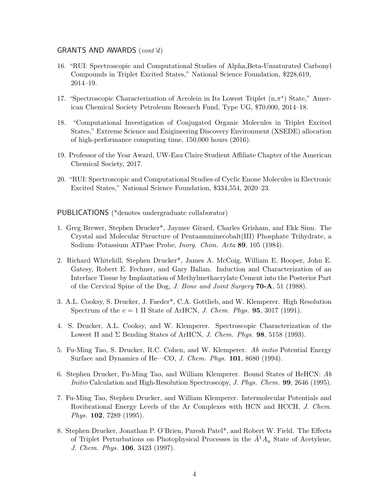#### GRANTS AND AWARDS (cont'd)

- 16. "RUI: Spectroscopic and Computational Studies of Alpha,Beta-Unsaturated Carbonyl Compounds in Triplet Excited States," National Science Foundation, \$228,619, 2014–19.
- 17. "Spectroscopic Characterization of Acrolein in Its Lowest Triplet  $(n, \pi^*)$  State," American Chemical Society Petroleum Research Fund, Type UG, \$70,000, 2014–18.
- 18. "Computational Investigation of Conjugated Organic Molecules in Triplet Excited States," Extreme Science and Enigineering Discovery Environment (XSEDE) allocation of high-performance computing time, 150,000 hours (2016).
- 19. Professor of the Year Award, UW-Eau Claire Studient Affiliate Chapter of the American Chemical Society, 2017.
- 20. "RUI: Spectroscopic and Computational Studies of Cyclic Enone Molecules in Electronic Excited States," National Science Foundation, \$334,554, 2020–23.

PUBLICATIONS (\*denotes undergraduate collaborator)

- 1. Greg Brewer, Stephen Drucker\*, Jaymee Girard, Charles Grisham, and Ekk Sinn. The Crystal and Molecular Structure of Pentaamminecobalt(III) Phosphate Trihydrate, a Sodium–Potassium ATPase Probe, Inorg. Chim. Acta 89, 105 (1984).
- 2. Richard Whitehill, Stephen Drucker\*, James A. McCoig, William E. Hooper, John E. Gatesy, Robert E. Fechner, and Gary Balian. Induction and Characterization of an Interface Tissue by Implantation of Methylmethacrylate Cement into the Posterior Part of the Cervical Spine of the Dog, J. Bone and Joint Surgery 70-A, 51 (1988).
- 3. A.L. Cooksy, S. Drucker, J. Faeder\*, C.A. Gottlieb, and W. Klemperer. High Resolution Spectrum of the  $v = 1$  II State of ArHCN, *J. Chem. Phys.* **95**, 3017 (1991).
- 4. S. Drucker, A.L. Cooksy, and W. Klemperer. Spectroscopic Characterization of the Lowest  $\Pi$  and  $\Sigma$  Bending States of ArHCN, *J. Chem. Phys.* **98**, 5158 (1993).
- 5. Fu-Ming Tao, S. Drucker, R.C. Cohen, and W. Klemperer. Ab initio Potential Energy Surface and Dynamics of He—CO, J. Chem. Phys. 101, 8680 (1994).
- 6. Stephen Drucker, Fu-Ming Tao, and William Klemperer. Bound States of HeHCN: Ab Initio Calculation and High-Resolution Spectroscopy, J. Phys. Chem. **99**, 2646 (1995).
- 7. Fu-Ming Tao, Stephen Drucker, and William Klemperer. Intermolecular Potentials and Rovibrational Energy Levels of the Ar Complexes with HCN and HCCH, J. Chem. *Phys.* **102**, 7289 (1995).
- 8. Stephen Drucker, Jonathan P. O'Brien, Paresh Patel\*, and Robert W. Field. The Effects of Triplet Perturbations on Photophysical Processes in the  $\tilde{A}^1A_u$  State of Acetylene, J. Chem. Phys. 106, 3423 (1997).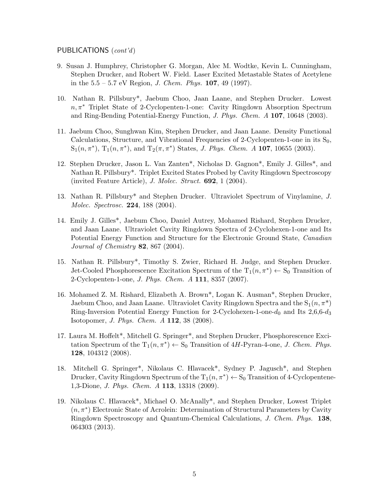#### PUBLICATIONS (cont'd)

- 9. Susan J. Humphrey, Christopher G. Morgan, Alec M. Wodtke, Kevin L. Cunningham, Stephen Drucker, and Robert W. Field. Laser Excited Metastable States of Acetylene in the  $5.5 - 5.7$  eV Region, *J. Chem. Phys.* **107**, 49 (1997).
- 10. Nathan R. Pillsbury\*, Jaebum Choo, Jaan Laane, and Stephen Drucker. Lowest n, π<sup>∗</sup> Triplet State of 2-Cyclopenten-1-one: Cavity Ringdown Absorption Spectrum and Ring-Bending Potential-Energy Function, J. Phys. Chem. A 107, 10648 (2003).
- 11. Jaebum Choo, Sunghwan Kim, Stephen Drucker, and Jaan Laane. Density Functional Calculations, Structure, and Vibrational Frequencies of 2-Cyclopenten-1-one in its  $S_0$ ,  $S_1(n, \pi^*)$ ,  $T_1(n, \pi^*)$ , and  $T_2(\pi, \pi^*)$  States, *J. Phys. Chem. A* **107**, 10655 (2003).
- 12. Stephen Drucker, Jason L. Van Zanten\*, Nicholas D. Gagnon\*, Emily J. Gilles\*, and Nathan R. Pillsbury\*. Triplet Excited States Probed by Cavity Ringdown Spectroscopy (invited Feature Article),  $J.$  Molec. Struct.  $692$ , 1 (2004).
- 13. Nathan R. Pillsbury\* and Stephen Drucker. Ultraviolet Spectrum of Vinylamine, J. Molec. Spectrosc. 224, 188 (2004).
- 14. Emily J. Gilles\*, Jaebum Choo, Daniel Autrey, Mohamed Rishard, Stephen Drucker, and Jaan Laane. Ultraviolet Cavity Ringdown Spectra of 2-Cyclohexen-1-one and Its Potential Energy Function and Structure for the Electronic Ground State, Canadian Journal of Chemistry  $82$ ,  $867$  (2004).
- 15. Nathan R. Pillsbury\*, Timothy S. Zwier, Richard H. Judge, and Stephen Drucker. Jet-Cooled Phosphorescence Excitation Spectrum of the  $T_1(n, \pi^*) \leftarrow S_0$  Transition of 2-Cyclopenten-1-one, J. Phys. Chem. A 111, 8357 (2007).
- 16. Mohamed Z. M. Rishard, Elizabeth A. Brown\*, Logan K. Ausman\*, Stephen Drucker, Jaebum Choo, and Jaan Laane. Ultraviolet Cavity Ringdown Spectra and the  $S_1(n, \pi^*)$ Ring-Inversion Potential Energy Function for 2-Cyclohexen-1-one- $d_0$  and Its 2,6,6- $d_3$ Isotopomer, J. Phys. Chem. A 112, 38 (2008).
- 17. Laura M. Hoffelt\*, Mitchell G. Springer\*, and Stephen Drucker, Phosphorescence Excitation Spectrum of the  $T_1(n, \pi^*) \leftarrow S_0$  Transition of 4H-Pyran-4-one, J. Chem. Phys. 128, 104312 (2008).
- 18. Mitchell G. Springer\*, Nikolaus C. Hlavacek\*, Sydney P. Jagusch\*, and Stephen Drucker, Cavity Ringdown Spectrum of the  $T_1(n, \pi^*) \leftarrow S_0$  Transition of 4-Cyclopentene-1,3-Dione, J. Phys. Chem. A 113, 13318 (2009).
- 19. Nikolaus C. Hlavacek\*, Michael O. McAnally\*, and Stephen Drucker, Lowest Triplet  $(n, \pi^*)$  Electronic State of Acrolein: Determination of Structural Parameters by Cavity Ringdown Spectroscopy and Quantum-Chemical Calculations, J. Chem. Phys. 138, 064303 (2013).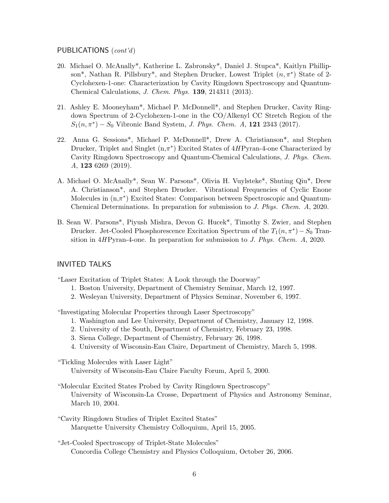## PUBLICATIONS (cont'd)

- 20. Michael O. McAnally\*, Katherine L. Zabronsky\*, Daniel J. Stupca\*, Kaitlyn Phillipson<sup>\*</sup>, Nathan R. Pillsbury<sup>\*</sup>, and Stephen Drucker, Lowest Triplet  $(n, \pi^*)$  State of 2-Cyclohexen-1-one: Characterization by Cavity Ringdown Spectroscopy and Quantum-Chemical Calculations, J. Chem. Phys. 139, 214311 (2013).
- 21. Ashley E. Mooneyham\*, Michael P. McDonnell\*, and Stephen Drucker, Cavity Ringdown Spectrum of 2-Cyclohexen-1-one in the CO/Alkenyl CC Stretch Region of the  $S_1(n, \pi^*) - S_0$  Vibronic Band System, *J. Phys. Chem. A*, **121** 2343 (2017).
- 22. Anna G. Sessions\*, Michael P. McDonnell\*, Drew A. Christianson\*, and Stephen Drucker, Triplet and Singlet  $(n, \pi^*)$  Excited States of  $4HP$ yran-4-one Characterized by Cavity Ringdown Spectroscopy and Quantum-Chemical Calculations, J. Phys. Chem. A, 123 6269 (2019).
- A. Michael O. McAnally\*, Sean W. Parsons\*, Olivia H. Vuylsteke\*, Shuting Qiu\*, Drew A. Christianson\*, and Stephen Drucker. Vibrational Frequencies of Cyclic Enone Molecules in  $(n, \pi^*)$  Excited States: Comparison between Spectroscopic and Quantum-Chemical Determinations. In preparation for submission to J. Phys. Chem. A, 2020.
- B. Sean W. Parsons\*, Piyush Mishra, Devon G. Hucek\*, Timothy S. Zwier, and Stephen Drucker. Jet-Cooled Phosphorescence Excitation Spectrum of the  $T_1(n, \pi^*) - S_0$  Transition in 4H Pyran-4-one. In preparation for submission to J. Phys. Chem.  $A$ , 2020.

## INVITED TALKS

"Laser Excitation of Triplet States: A Look through the Doorway"

- 1. Boston University, Department of Chemistry Seminar, March 12, 1997.
- 2. Wesleyan University, Department of Physics Seminar, November 6, 1997.

"Investigating Molecular Properties through Laser Spectroscopy"

- 1. Washington and Lee University, Department of Chemistry, January 12, 1998.
- 2. University of the South, Department of Chemistry, February 23, 1998.
- 3. Siena College, Department of Chemistry, February 26, 1998.
- 4. University of Wisconsin-Eau Claire, Department of Chemistry, March 5, 1998.

"Tickling Molecules with Laser Light"

University of Wisconsin-Eau Claire Faculty Forum, April 5, 2000.

- "Molecular Excited States Probed by Cavity Ringdown Spectroscopy" University of Wisconsin-La Crosse, Department of Physics and Astronomy Seminar, March 10, 2004.
- "Cavity Ringdown Studies of Triplet Excited States" Marquette University Chemistry Colloquium, April 15, 2005.
- "Jet-Cooled Spectroscopy of Triplet-State Molecules" Concordia College Chemistry and Physics Colloquium, October 26, 2006.